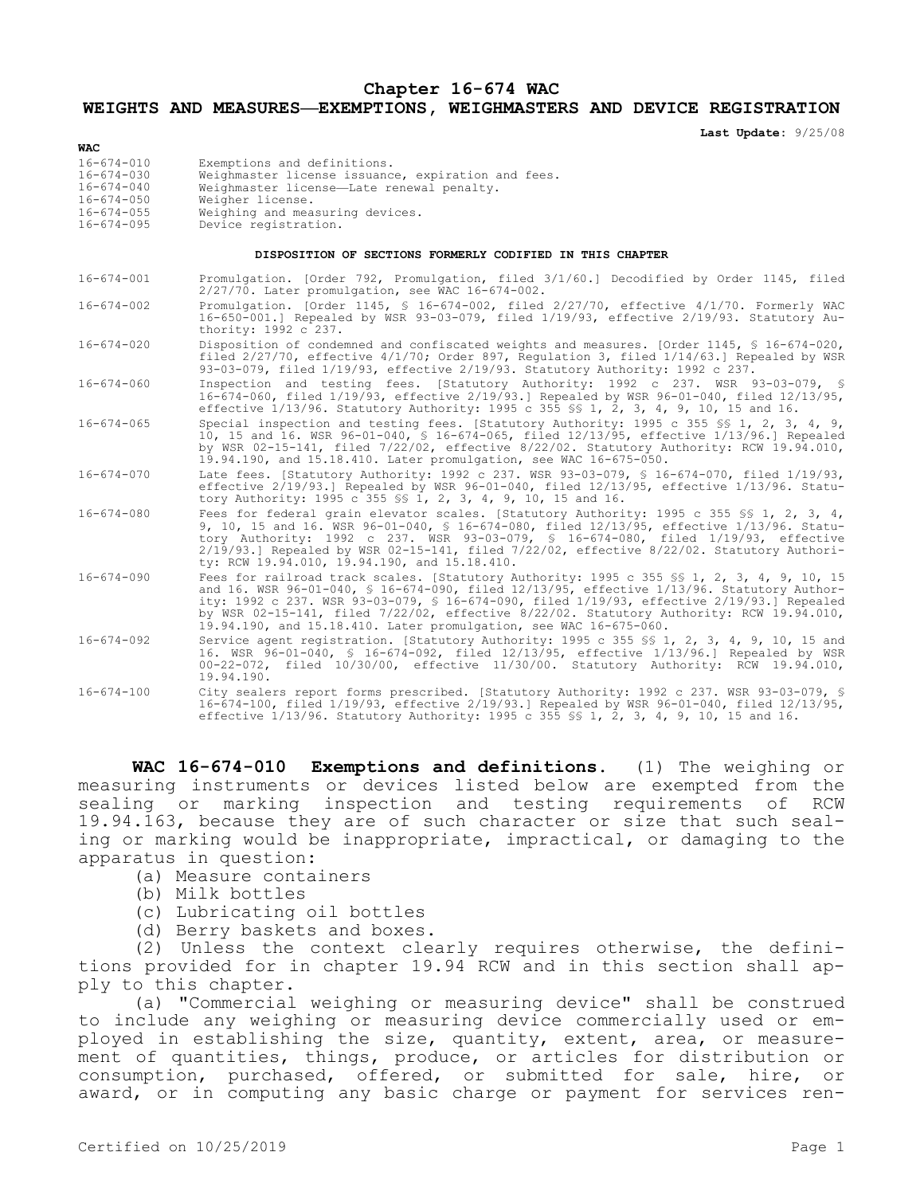## **Chapter 16-674 WAC**

## **WEIGHTS AND MEASURES—EXEMPTIONS, WEIGHMASTERS AND DEVICE REGISTRATION**

**Last Update:** 9/25/08

| $16 - 674 - 010$<br>Exemptions and definitions.<br>16-674-030<br>$16 - 674 - 040$<br>Weighmaster license-Late renewal penalty.          | <b>WAC</b> |                                                    |
|-----------------------------------------------------------------------------------------------------------------------------------------|------------|----------------------------------------------------|
| $16 - 674 - 050$<br>Weigher license.<br>Weighing and measuring devices.<br>$16 - 674 - 055$<br>Device registration.<br>$16 - 674 - 095$ |            | Weighmaster license issuance, expiration and fees. |

## **DISPOSITION OF SECTIONS FORMERLY CODIFIED IN THIS CHAPTER**

| $16 - 674 - 001$ | Promulgation. [Order 792, Promulgation, filed 3/1/60.] Decodified by Order 1145, filed<br>2/27/70. Later promulgation, see WAC 16-674-002.                                                                                                                                                                                                                                                                                                            |
|------------------|-------------------------------------------------------------------------------------------------------------------------------------------------------------------------------------------------------------------------------------------------------------------------------------------------------------------------------------------------------------------------------------------------------------------------------------------------------|
| $16 - 674 - 002$ | Promulgation. [Order 1145, § 16-674-002, filed 2/27/70, effective 4/1/70. Formerly WAC<br>16-650-001.] Repealed by WSR 93-03-079, filed 1/19/93, effective 2/19/93. Statutory Au-<br>thority: 1992 c 237.                                                                                                                                                                                                                                             |
| $16 - 674 - 020$ | Disposition of condemned and confiscated weights and measures. [Order 1145, \$ 16-674-020,<br>filed 2/27/70, effective 4/1/70; Order 897, Requlation 3, filed 1/14/63.] Repealed by WSR<br>93-03-079, filed 1/19/93, effective 2/19/93. Statutory Authority: 1992 c 237.                                                                                                                                                                              |
| $16 - 674 - 060$ | Inspection and testing fees. [Statutory Authority: 1992 c 237. WSR 93-03-079, §<br>16-674-060, filed 1/19/93, effective 2/19/93. Repealed by WSR 96-01-040, filed 12/13/95,<br>effective 1/13/96. Statutory Authority: 1995 c 355 \$ 1, 2, 3, 4, 9, 10, 15 and 16.                                                                                                                                                                                    |
| $16 - 674 - 065$ | Special inspection and testing fees. [Statutory Authority: 1995 c 355 \$\$ 1, 2, 3, 4, 9,<br>10, 15 and 16. WSR 96-01-040, § 16-674-065, filed 12/13/95, effective 1/13/96.] Repealed<br>by WSR 02-15-141, filed 7/22/02, effective 8/22/02. Statutory Authority: RCW 19.94.010,<br>19.94.190, and 15.18.410. Later promulgation, see WAC 16-675-050.                                                                                                 |
| $16 - 674 - 070$ | Late fees. [Statutory Authority: 1992 c 237. WSR 93-03-079, § 16-674-070, filed 1/19/93,<br>effective $2/19/93$ .] Repealed by WSR 96-01-040, filed $12/13/95$ , effective $1/13/96$ . Statu-<br>tory Authority: 1995 c 355 \$\$ 1, 2, 3, 4, 9, 10, 15 and 16.                                                                                                                                                                                        |
| $16 - 674 - 080$ | Fees for federal grain elevator scales. [Statutory Authority: 1995 c 355 \$ 1, 2, 3, 4,<br>9, 10, 15 and 16. WSR 96-01-040, § 16-674-080, filed 12/13/95, effective 1/13/96. Statu-<br>tory Authority: 1992 c 237. WSR 93-03-079, § 16-674-080, filed 1/19/93, effective<br>$2/19/93.$ Repealed by WSR 02-15-141, filed 7/22/02, effective 8/22/02. Statutory Authori-<br>ty: RCW 19.94.010, 19.94.190, and 15.18.410.                                |
| $16 - 674 - 090$ | Fees for railroad track scales. [Statutory Authority: 1995 c 355 \$\$ 1, 2, 3, 4, 9, 10, 15<br>and 16. WSR 96-01-040, § 16-674-090, filed 12/13/95, effective 1/13/96. Statutory Author-<br>ity: 1992 c 237. WSR 93-03-079, § 16-674-090, filed 1/19/93, effective 2/19/93.] Repealed<br>by WSR 02-15-141, filed 7/22/02, effective 8/22/02. Statutory Authority: RCW 19.94.010,<br>19.94.190, and 15.18.410. Later promulgation, see WAC 16-675-060. |
| $16 - 674 - 092$ | Service agent registration. [Statutory Authority: 1995 c 355 \$\$ 1, 2, 3, 4, 9, 10, 15 and<br>16. WSR 96-01-040, § 16-674-092, filed 12/13/95, effective 1/13/96.] Repealed by WSR<br>00-22-072, filed 10/30/00, effective 11/30/00. Statutory Authority: RCW 19.94.010,<br>19.94.190.                                                                                                                                                               |
| $16 - 674 - 100$ | City sealers report forms prescribed. [Statutory Authority: 1992 c 237. WSR 93-03-079, §<br>16-674-100, filed 1/19/93, effective 2/19/93.] Repealed by WSR 96-01-040, filed 12/13/95,<br>effective 1/13/96. Statutory Authority: 1995 c 355 \$\$ 1, 2, 3, 4, 9, 10, 15 and 16.                                                                                                                                                                        |

**WAC 16-674-010 Exemptions and definitions.** (1) The weighing or measuring instruments or devices listed below are exempted from the sealing or marking inspection and testing requirements of RCW 19.94.163, because they are of such character or size that such sealing or marking would be inappropriate, impractical, or damaging to the apparatus in question:

- (a) Measure containers
- (b) Milk bottles
- (c) Lubricating oil bottles
- (d) Berry baskets and boxes.

(2) Unless the context clearly requires otherwise, the definitions provided for in chapter 19.94 RCW and in this section shall apply to this chapter.

(a) "Commercial weighing or measuring device" shall be construed to include any weighing or measuring device commercially used or employed in establishing the size, quantity, extent, area, or measurement of quantities, things, produce, or articles for distribution or consumption, purchased, offered, or submitted for sale, hire, or award, or in computing any basic charge or payment for services ren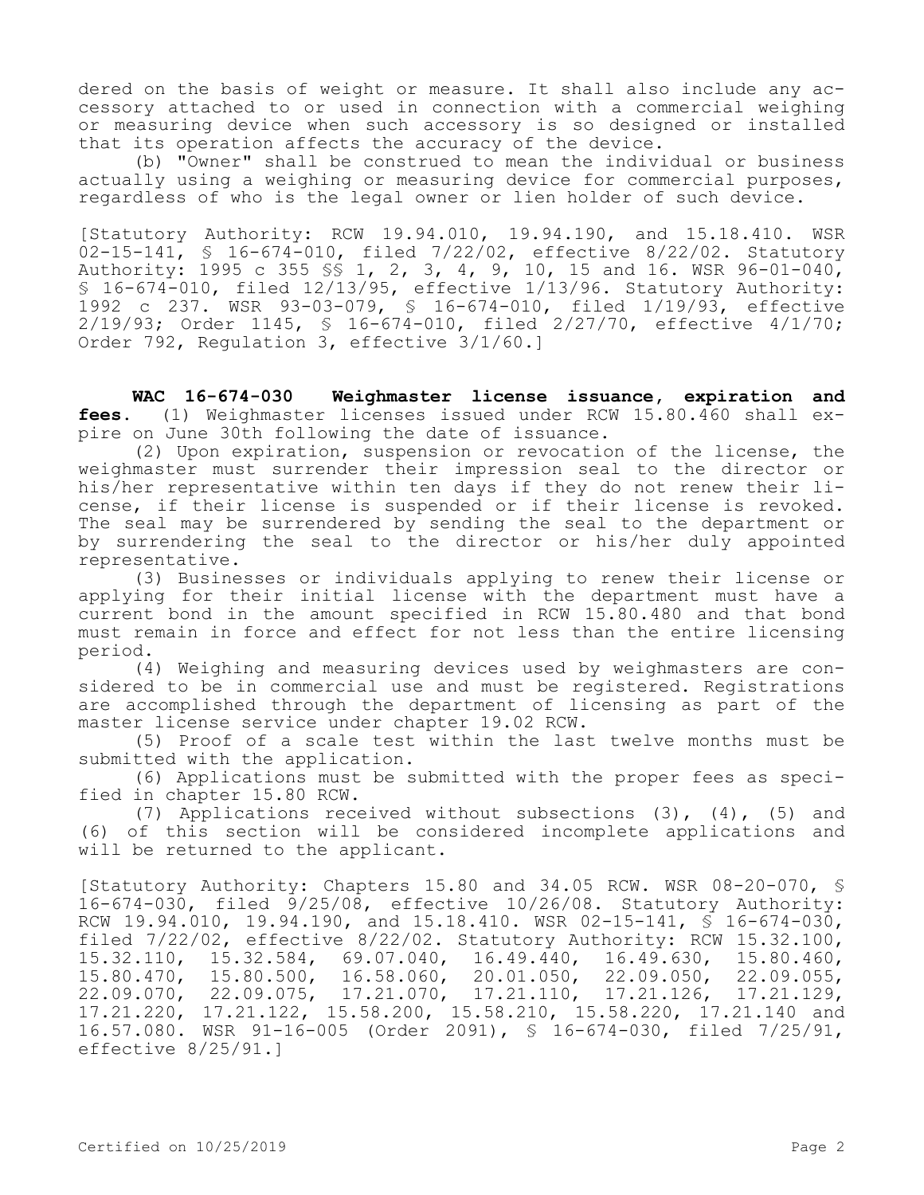dered on the basis of weight or measure. It shall also include any accessory attached to or used in connection with a commercial weighing or measuring device when such accessory is so designed or installed that its operation affects the accuracy of the device.

(b) "Owner" shall be construed to mean the individual or business actually using a weighing or measuring device for commercial purposes, regardless of who is the legal owner or lien holder of such device.

[Statutory Authority: RCW 19.94.010, 19.94.190, and 15.18.410. WSR 02-15-141, § 16-674-010, filed 7/22/02, effective 8/22/02. Statutory Authority: 1995 c 355 §§ 1, 2, 3, 4, 9, 10, 15 and 16. WSR 96-01-040, § 16-674-010, filed 12/13/95, effective 1/13/96. Statutory Authority: 1992 c 237. WSR 93-03-079, § 16-674-010, filed 1/19/93, effective 2/19/93; Order 1145, § 16-674-010, filed 2/27/70, effective 4/1/70; Order 792, Regulation 3, effective 3/1/60.]

**WAC 16-674-030 Weighmaster license issuance, expiration and fees.** (1) Weighmaster licenses issued under RCW 15.80.460 shall expire on June 30th following the date of issuance.

(2) Upon expiration, suspension or revocation of the license, the weighmaster must surrender their impression seal to the director or his/her representative within ten days if they do not renew their license, if their license is suspended or if their license is revoked. The seal may be surrendered by sending the seal to the department or by surrendering the seal to the director or his/her duly appointed representative.

(3) Businesses or individuals applying to renew their license or applying for their initial license with the department must have a current bond in the amount specified in RCW 15.80.480 and that bond must remain in force and effect for not less than the entire licensing period.

(4) Weighing and measuring devices used by weighmasters are considered to be in commercial use and must be registered. Registrations are accomplished through the department of licensing as part of the master license service under chapter 19.02 RCW.

(5) Proof of a scale test within the last twelve months must be submitted with the application.

(6) Applications must be submitted with the proper fees as specified in chapter 15.80 RCW.

(7) Applications received without subsections (3), (4), (5) and (6) of this section will be considered incomplete applications and will be returned to the applicant.

[Statutory Authority: Chapters 15.80 and 34.05 RCW. WSR 08-20-070, § 16-674-030, filed 9/25/08, effective 10/26/08. Statutory Authority: RCW 19.94.010, 19.94.190, and 15.18.410. WSR 02-15-141, § 16-674-030, filed 7/22/02, effective 8/22/02. Statutory Authority: RCW 15.32.100,<br>15.32.110, 15.32.584, 69.07.040, 16.49.440, 16.49.630, 15.80.460, 15.32.110, 15.32.584, 69.07.040, 16.49.440, 16.49.630, 15.80.460, 15.80.470, 15.80.500, 16.58.060, 20.01.050, 22.09.050, 22.09.055, 22.09.070, 22.09.075, 17.21.070, 17.21.110, 17.21.126, 17.21.129, 17.21.220, 17.21.122, 15.58.200, 15.58.210, 15.58.220, 17.21.140 and 16.57.080. WSR 91-16-005 (Order 2091), § 16-674-030, filed 7/25/91, effective 8/25/91.]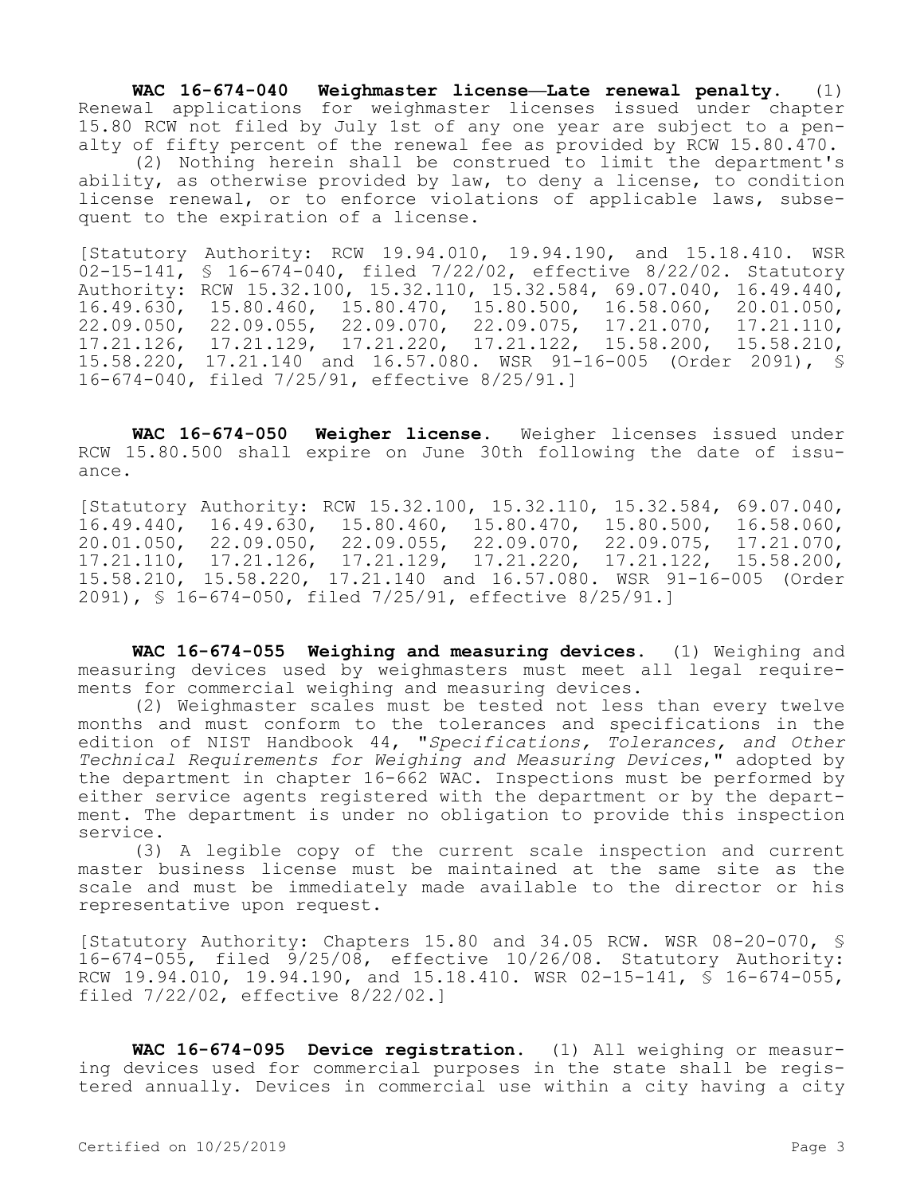**WAC 16-674-040 Weighmaster license—Late renewal penalty.** (1) Renewal applications for weighmaster licenses issued under chapter 15.80 RCW not filed by July 1st of any one year are subject to a penalty of fifty percent of the renewal fee as provided by RCW 15.80.470.

(2) Nothing herein shall be construed to limit the department's ability, as otherwise provided by law, to deny a license, to condition license renewal, or to enforce violations of applicable laws, subsequent to the expiration of a license.

[Statutory Authority: RCW 19.94.010, 19.94.190, and 15.18.410. WSR 02-15-141, § 16-674-040, filed 7/22/02, effective 8/22/02. Statutory Authority: RCW 15.32.100, 15.32.110, 15.32.584, 69.07.040, 16.49.440, 16.49.630, 15.80.460, 15.80.470, 15.80.500, 16.58.060, 20.01.050, 22.09.050, 22.09.055, 22.09.070, 22.09.075, 17.21.070, 17.21.126, 17.21.129, 17.21.220, 17.21.122, 15.58.200, 15.58.210, 15.58.220, 17.21.140 and 16.57.080. WSR 91-16-005 (Order 2091), § 16-674-040, filed 7/25/91, effective 8/25/91.]

**WAC 16-674-050 Weigher license.** Weigher licenses issued under RCW 15.80.500 shall expire on June 30th following the date of issuance.

[Statutory Authority: RCW 15.32.100, 15.32.110, 15.32.584, 69.07.040, 16.49.440, 16.49.630, 15.80.460, 15.80.470, 15.80.500, 16.58.060, 20.01.050, 22.09.050, 22.09.055, 22.09.070, 22.09.075, 17.21.070, 17.21.110, 17.21.126, 17.21.129, 17.21.220, 17.21.122, 15.58.200, 15.58.210, 15.58.220, 17.21.140 and 16.57.080. WSR 91-16-005 (Order 2091), § 16-674-050, filed 7/25/91, effective 8/25/91.]

**WAC 16-674-055 Weighing and measuring devices.** (1) Weighing and measuring devices used by weighmasters must meet all legal requirements for commercial weighing and measuring devices.

(2) Weighmaster scales must be tested not less than every twelve months and must conform to the tolerances and specifications in the edition of NIST Handbook 44, "*Specifications, Tolerances, and Other Technical Requirements for Weighing and Measuring Devices*," adopted by the department in chapter 16-662 WAC. Inspections must be performed by either service agents registered with the department or by the department. The department is under no obligation to provide this inspection service.

(3) A legible copy of the current scale inspection and current master business license must be maintained at the same site as the scale and must be immediately made available to the director or his representative upon request.

[Statutory Authority: Chapters 15.80 and 34.05 RCW. WSR 08-20-070, § 16-674-055, filed 9/25/08, effective 10/26/08. Statutory Authority: RCW 19.94.010, 19.94.190, and 15.18.410. WSR 02-15-141, § 16-674-055, filed 7/22/02, effective 8/22/02.]

**WAC 16-674-095 Device registration.** (1) All weighing or measuring devices used for commercial purposes in the state shall be registered annually. Devices in commercial use within a city having a city